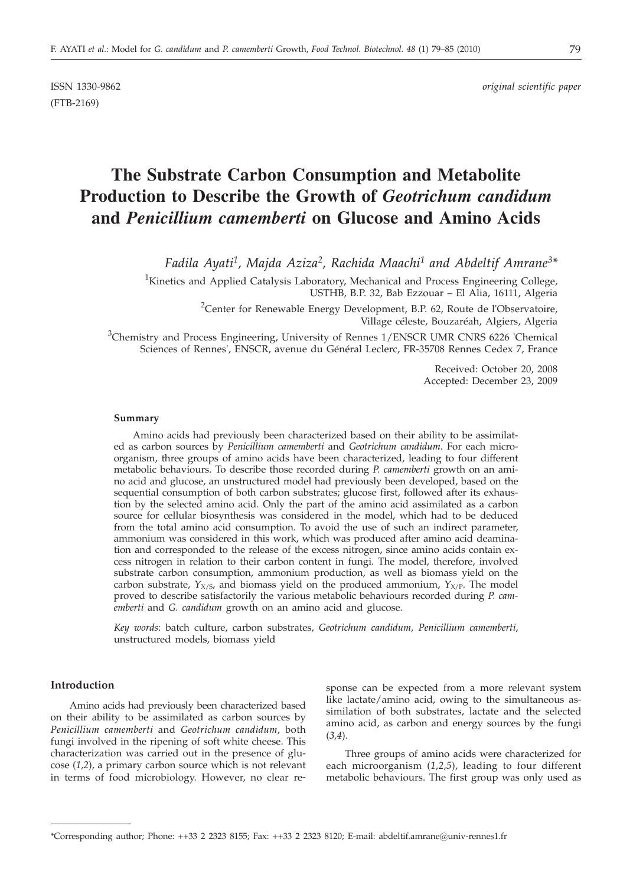(FTB-2169)

# **The Substrate Carbon Consumption and Metabolite Production to Describe the Growth of** *Geotrichum candidum* **and** *Penicillium camemberti* **on Glucose and Amino Acids**

*Fadila Ayati1, Majda Aziza2, Rachida Maachi1 and Abdeltif Amrane3\**

<sup>1</sup>Kinetics and Applied Catalysis Laboratory, Mechanical and Process Engineering College, USTHB, B.P. 32, Bab Ezzouar – El Alia, 16111, Algeria

> <sup>2</sup>Center for Renewable Energy Development, B.P. 62, Route de l'Observatoire, Village céleste, Bouzaréah, Algiers, Algeria

<sup>3</sup>Chemistry and Process Engineering, University of Rennes 1/ENSCR UMR CNRS 6226 'Chemical Sciences of Rennes', ENSCR, avenue du Général Leclerc, FR-35708 Rennes Cedex 7, France

> Received: October 20, 2008 Accepted: December 23, 2009

#### **Summary**

Amino acids had previously been characterized based on their ability to be assimilated as carbon sources by *Penicillium camemberti* and *Geotrichum candidum*. For each microorganism, three groups of amino acids have been characterized, leading to four different metabolic behaviours. To describe those recorded during *P. camemberti* growth on an amino acid and glucose, an unstructured model had previously been developed, based on the sequential consumption of both carbon substrates; glucose first, followed after its exhaustion by the selected amino acid. Only the part of the amino acid assimilated as a carbon source for cellular biosynthesis was considered in the model, which had to be deduced from the total amino acid consumption. To avoid the use of such an indirect parameter, ammonium was considered in this work, which was produced after amino acid deamination and corresponded to the release of the excess nitrogen, since amino acids contain excess nitrogen in relation to their carbon content in fungi. The model, therefore, involved substrate carbon consumption, ammonium production, as well as biomass yield on the carbon substrate,  $Y_{X/S}$ , and biomass yield on the produced ammonium,  $Y_{X/P}$ . The model proved to describe satisfactorily the various metabolic behaviours recorded during *P. camemberti* and *G. candidum* growth on an amino acid and glucose.

*Key words*: batch culture, carbon substrates, *Geotrichum candidum*, *Penicillium camemberti*, unstructured models, biomass yield

# **Introduction**

Amino acids had previously been characterized based on their ability to be assimilated as carbon sources by *Penicillium camemberti* and *Geotrichum candidum*, both fungi involved in the ripening of soft white cheese. This characterization was carried out in the presence of glucose (*1,2*), a primary carbon source which is not relevant in terms of food microbiology. However, no clear response can be expected from a more relevant system like lactate/amino acid, owing to the simultaneous assimilation of both substrates, lactate and the selected amino acid, as carbon and energy sources by the fungi (*3,4*).

Three groups of amino acids were characterized for each microorganism (*1,2,5*), leading to four different metabolic behaviours. The first group was only used as

<sup>\*</sup>Corresponding author; Phone: ++33 2 2323 8155; Fax: ++33 2 2323 8120; E-mail: abdeltif.amrane*@*univ-rennes1.fr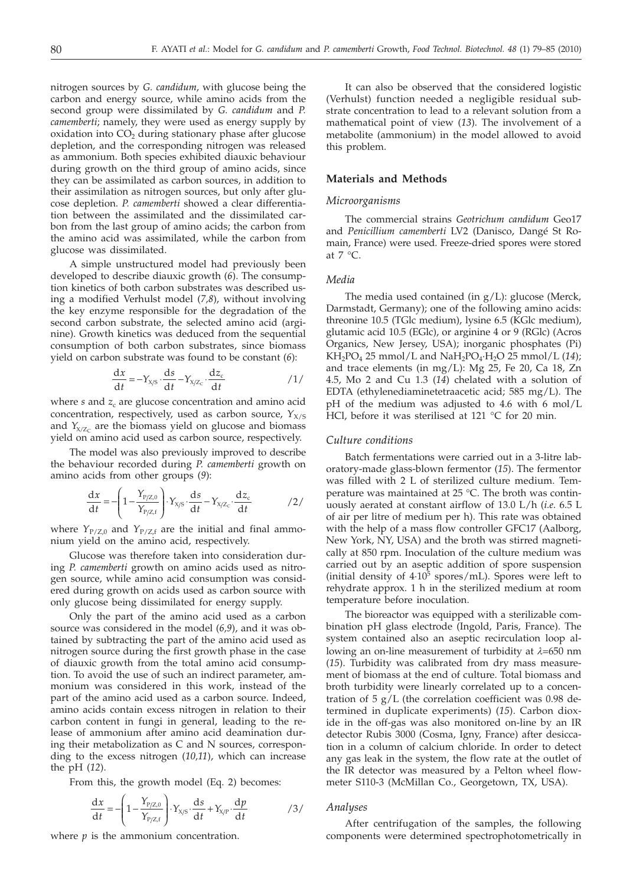nitrogen sources by *G. candidum*, with glucose being the carbon and energy source, while amino acids from the second group were dissimilated by *G. candidum* and *P. camemberti*; namely, they were used as energy supply by  $oxidation$  into  $CO<sub>2</sub>$  during stationary phase after glucose depletion, and the corresponding nitrogen was released as ammonium. Both species exhibited diauxic behaviour during growth on the third group of amino acids, since they can be assimilated as carbon sources, in addition to their assimilation as nitrogen sources, but only after glucose depletion. *P. camemberti* showed a clear differentiation between the assimilated and the dissimilated carbon from the last group of amino acids; the carbon from the amino acid was assimilated, while the carbon from glucose was dissimilated.

A simple unstructured model had previously been developed to describe diauxic growth (*6*). The consumption kinetics of both carbon substrates was described using a modified Verhulst model (*7,8*), without involving the key enzyme responsible for the degradation of the second carbon substrate, the selected amino acid (arginine). Growth kinetics was deduced from the sequential consumption of both carbon substrates, since biomass yield on carbon substrate was found to be constant (*6*):

$$
\frac{dx}{dt} = -Y_{X/S} \cdot \frac{ds}{dt} - Y_{X/Z_C} \cdot \frac{dz_c}{dt}
$$

where  $s$  and  $z_c$  are glucose concentration and amino acid concentration, respectively, used as carbon source,  $Y_{X/S}$ and  $Y_{X/Z_C}$  are the biomass yield on glucose and biomass yield on amino acid used as carbon source, respectively.

The model was also previously improved to describe the behaviour recorded during *P. camemberti* growth on amino acids from other groups (*9*):

$$
\frac{dx}{dt} = -\left(1 - \frac{Y_{P/Z,0}}{Y_{P/Z,t}}\right) \cdot Y_{X/S} \cdot \frac{ds}{dt} - Y_{X/Z_c} \cdot \frac{dz_c}{dt}
$$

where  $Y_{P/Z,0}$  and  $Y_{P/Z,f}$  are the initial and final ammonium yield on the amino acid, respectively.

Glucose was therefore taken into consideration during *P. camemberti* growth on amino acids used as nitrogen source, while amino acid consumption was considered during growth on acids used as carbon source with only glucose being dissimilated for energy supply.

Only the part of the amino acid used as a carbon source was considered in the model (*6,9*), and it was obtained by subtracting the part of the amino acid used as nitrogen source during the first growth phase in the case of diauxic growth from the total amino acid consumption. To avoid the use of such an indirect parameter, ammonium was considered in this work, instead of the part of the amino acid used as a carbon source. Indeed, amino acids contain excess nitrogen in relation to their carbon content in fungi in general, leading to the release of ammonium after amino acid deamination during their metabolization as C and N sources, corresponding to the excess nitrogen (*10,11*), which can increase the pH (*12*).

From this, the growth model (Eq. 2) becomes:

$$
\frac{dx}{dt} = -\left(1 - \frac{Y_{P/Z,0}}{Y_{P/Z,t}}\right) \cdot Y_{X/S} \cdot \frac{ds}{dt} + Y_{X/P} \cdot \frac{dp}{dt}
$$

where  $p$  is the ammonium concentration.

It can also be observed that the considered logistic (Verhulst) function needed a negligible residual substrate concentration to lead to a relevant solution from a mathematical point of view (*13*). The involvement of a metabolite (ammonium) in the model allowed to avoid this problem.

#### **Materials and Methods**

### *Microorganisms*

The commercial strains *Geotrichum candidum* Geo17 and *Penicillium camemberti* LV2 (Danisco, Dangé St Romain, France) were used. Freeze-dried spores were stored at  $7 °C$ .

## *Media*

The media used contained (in g/L): glucose (Merck, Darmstadt, Germany); one of the following amino acids: threonine 10.5 (TGlc medium), lysine 6.5 (KGlc medium), glutamic acid 10.5 (EGlc), or arginine 4 or 9 (RGlc) (Acros Organics, New Jersey, USA); inorganic phosphates (Pi)  $KH<sub>2</sub>PO<sub>4</sub> 25 mmol/L and NaH<sub>2</sub>PO<sub>4</sub>·H<sub>2</sub>O 25 mmol/L (14);$ and trace elements (in mg/L): Mg 25, Fe 20, Ca 18, Zn 4.5, Mo 2 and Cu 1.3 (*14*) chelated with a solution of EDTA (ethylenediaminetetraacetic acid; 585 mg/L). The pH of the medium was adjusted to 4.6 with 6 mol/L HCl, before it was sterilised at 121 °C for 20 min.

## *Culture conditions*

Batch fermentations were carried out in a 3-litre laboratory-made glass-blown fermentor (*15*). The fermentor was filled with 2 L of sterilized culture medium. Temperature was maintained at 25 °C. The broth was continuously aerated at constant airflow of 13.0 L/h (*i.e*. 6.5 L of air per litre of medium per h). This rate was obtained with the help of a mass flow controller GFC17 (Aalborg, New York, NY, USA) and the broth was stirred magnetically at 850 rpm. Inoculation of the culture medium was carried out by an aseptic addition of spore suspension (initial density of  $4.10^5$  spores/mL). Spores were left to rehydrate approx. 1 h in the sterilized medium at room temperature before inoculation.

The bioreactor was equipped with a sterilizable combination pH glass electrode (Ingold, Paris, France). The system contained also an aseptic recirculation loop allowing an on-line measurement of turbidity at *λ*=650 nm (*15*). Turbidity was calibrated from dry mass measurement of biomass at the end of culture. Total biomass and broth turbidity were linearly correlated up to a concentration of  $5 \text{ g/L}$  (the correlation coefficient was 0.98 determined in duplicate experiments) (*15*). Carbon dioxide in the off-gas was also monitored on-line by an IR detector Rubis 3000 (Cosma, Igny, France) after desiccation in a column of calcium chloride. In order to detect any gas leak in the system, the flow rate at the outlet of the IR detector was measured by a Pelton wheel flowmeter S110-3 (McMillan Co., Georgetown, TX, USA).

### *Analyses*

After centrifugation of the samples, the following components were determined spectrophotometrically in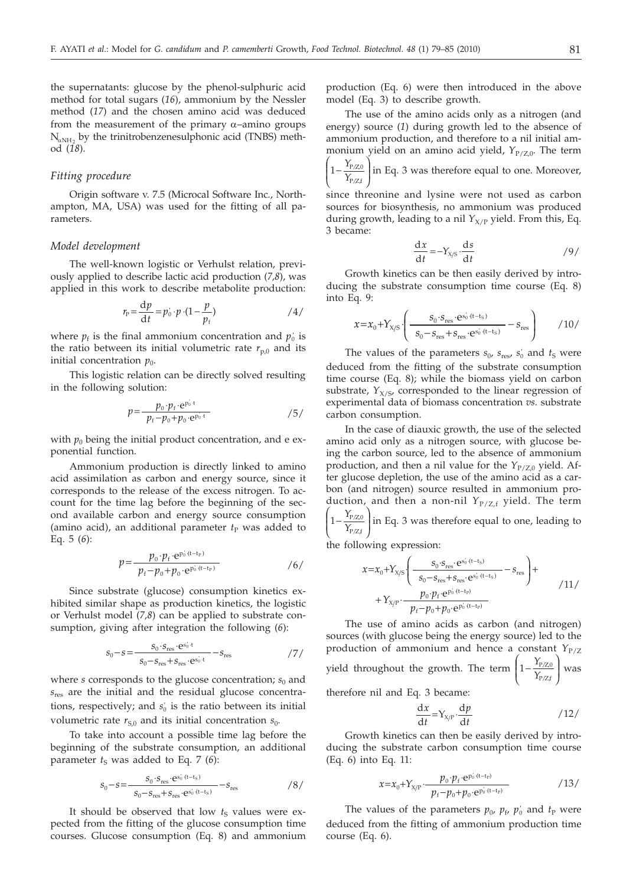the supernatants: glucose by the phenol-sulphuric acid method for total sugars (*16*), ammonium by the Nessler method (*17*) and the chosen amino acid was deduced from the measurement of the primary  $\alpha$ –amino groups  $N_{\alpha NH}$ , by the trinitrobenzenesulphonic acid (TNBS) method (*18*).

## *Fitting procedure*

Origin software v. 7.5 (Microcal Software Inc., Northampton, MA, USA) was used for the fitting of all parameters.

#### *Model development*

The well-known logistic or Verhulst relation, previously applied to describe lactic acid production (*7,8*), was applied in this work to describe metabolite production:

$$
r_{\rm p} = \frac{\mathrm{d}p}{\mathrm{d}t} = p_0 \cdot p \cdot (1 - \frac{p}{p_{\rm f}}) \tag{4}
$$

where  $p_f$  is the final ammonium concentration and  $p_o$  is the ratio between its initial volumetric rate  $r_{p,0}$  and its initial concentration  $p_0$ .

This logistic relation can be directly solved resulting in the following solution:

$$
p = \frac{p_0 \cdot p_f \cdot e^{p_0 \cdot t}}{p_f - p_0 + p_0 \cdot e^{p_0 \cdot t}}
$$
 /5/

with  $p_0$  being the initial product concentration, and e exponential function.

Ammonium production is directly linked to amino acid assimilation as carbon and energy source, since it corresponds to the release of the excess nitrogen. To account for the time lag before the beginning of the second available carbon and energy source consumption (amino acid), an additional parameter  $t<sub>P</sub>$  was added to Eq. 5 (*6*):

$$
p = \frac{p_0 \cdot p_f \cdot e^{p_0 \cdot (t - t_p)}}{p_f - p_0 + p_0 \cdot e^{p_0 \cdot (t - t_p)}}
$$

Since substrate (glucose) consumption kinetics exhibited similar shape as production kinetics, the logistic or Verhulst model (*7,8*) can be applied to substrate consumption, giving after integration the following (*6*):

$$
s_0 - s = \frac{s_0 \cdot s_{\text{res}} \cdot e^{s_0' \cdot t}}{s_0 - s_{\text{res}} + s_{\text{res}} \cdot e^{s_0' \cdot t}} - s_{\text{res}}
$$

where  $s$  corresponds to the glucose concentration;  $s_0$  and  $s_{res}$  are the initial and the residual glucose concentrations, respectively; and  $s_0$  is the ratio between its initial volumetric rate  $r_{S,0}$  and its initial concentration  $s_0$ .

To take into account a possible time lag before the beginning of the substrate consumption, an additional parameter  $t<sub>S</sub>$  was added to Eq. 7 (6):

$$
s_0 - s = \frac{s_0 \cdot s_{\rm res} \cdot e^{s_0 \cdot (t - t_s)}}{s_0 - s_{\rm res} + s_{\rm res} \cdot e^{s_0 \cdot (t - t_s)}} - s_{\rm res}
$$

It should be observed that low  $t<sub>S</sub>$  values were expected from the fitting of the glucose consumption time courses. Glucose consumption (Eq. 8) and ammonium production (Eq. 6) were then introduced in the above model (Eq. 3) to describe growth.

The use of the amino acids only as a nitrogen (and energy) source (*1*) during growth led to the absence of ammonium production, and therefore to a nil initial ammonium yield on an amino acid yield, *Y*<sub>P/Z,0</sub>. The term

1− l  $\overline{\phantom{a}}$ Ì  $\overline{\phantom{a}}$  *Y*  $\frac{1_{P/Z,0}}{Y_{P/Zf}}$  $\frac{P(Z,0)}{P(Z,0)}$  in Eq. 3 was therefore equal to one. Moreover,

since threonine and lysine were not used as carbon sources for biosynthesis, no ammonium was produced during growth, leading to a nil  $Y_{X/P}$  yield. From this, Eq. 3 became:

$$
\frac{dx}{dt} = -Y_{X/S} \cdot \frac{ds}{dt}
$$

Growth kinetics can be then easily derived by introducing the substrate consumption time course (Eq. 8) into Eq. 9:

$$
x = x_0 + Y_{X/S} \cdot \left( \frac{s_0 \cdot s_{\text{res}} \cdot e^{s_0 \cdot (t - t_s)}}{s_0 - s_{\text{res}} + s_{\text{res}} \cdot e^{s_0 \cdot (t - t_s)}} - s_{\text{res}} \right) \tag{10/}
$$

The values of the parameters  $s_0$ ,  $s_{\text{res}}$ ,  $s_0$  and  $t_S$  were deduced from the fitting of the substrate consumption time course (Eq. 8); while the biomass yield on carbon substrate,  $Y_{X/S}$ , corresponded to the linear regression of experimental data of biomass concentration *vs.* substrate carbon consumption.

In the case of diauxic growth, the use of the selected amino acid only as a nitrogen source, with glucose being the carbon source, led to the absence of ammonium production, and then a nil value for the  $Y_{P/Z,0}$  yield. After glucose depletion, the use of the amino acid as a carbon (and nitrogen) source resulted in ammonium production, and then a non-nil *Y*<sub>P/Z,f</sub> yield. The term 1− l  $\overline{\phantom{a}}$ Ì  $\overline{)}$  *Y*  $\frac{1_{P/Z,0}}{Y_{P/Zf}}$  $\frac{P(Z,0)}{P(Z,0)}$  in Eq. 3 was therefore equal to one, leading to

the following expression:

$$
x = x_0 + Y_{X/S} \left( \frac{s_0 \cdot s_{\text{res}} \cdot e^{s_0' (t - t_S)}}{s_0 - s_{\text{res}} + s_{\text{res}} \cdot e^{s_0' (t - t_S)}} - s_{\text{res}} \right) +
$$
  
+ 
$$
Y_{X/P} \cdot \frac{p_0 \cdot p_f \cdot e^{p_0' (t - t_P)}}{p_f - p_0 + p_0 \cdot e^{p_0' (t - t_P)}}
$$

The use of amino acids as carbon (and nitrogen) sources (with glucose being the energy source) led to the production of ammonium and hence a constant  $Y_{P/Z}$ yield throughout the growth. The term  $\big\lceil_{1-}\big\rceil$ l I  $\left( \frac{1}{2} \right)$  $\big)$  *Y*  $\frac{1_{P/Z,0}}{Y_{P/Z,f}}$  $\frac{P/Z,0}{P/Z,f}$  was

therefore nil and Eq. 3 became:

$$
\frac{\mathrm{d}x}{\mathrm{d}t} = Y_{\text{X/P}} \cdot \frac{\mathrm{d}p}{\mathrm{d}t} \tag{12}
$$

Growth kinetics can then be easily derived by introducing the substrate carbon consumption time course (Eq. 6) into Eq. 11:

$$
x = x_0 + Y_{X/P} \cdot \frac{p_0 \cdot p_f \cdot e^{p_0 \cdot (t - t_P)}}{p_f - p_0 + p_0 \cdot e^{p_0 \cdot (t - t_P)}}
$$

The values of the parameters  $p_0$ ,  $p_f$ ,  $p'_0$  and  $t_P$  were deduced from the fitting of ammonium production time course (Eq. 6).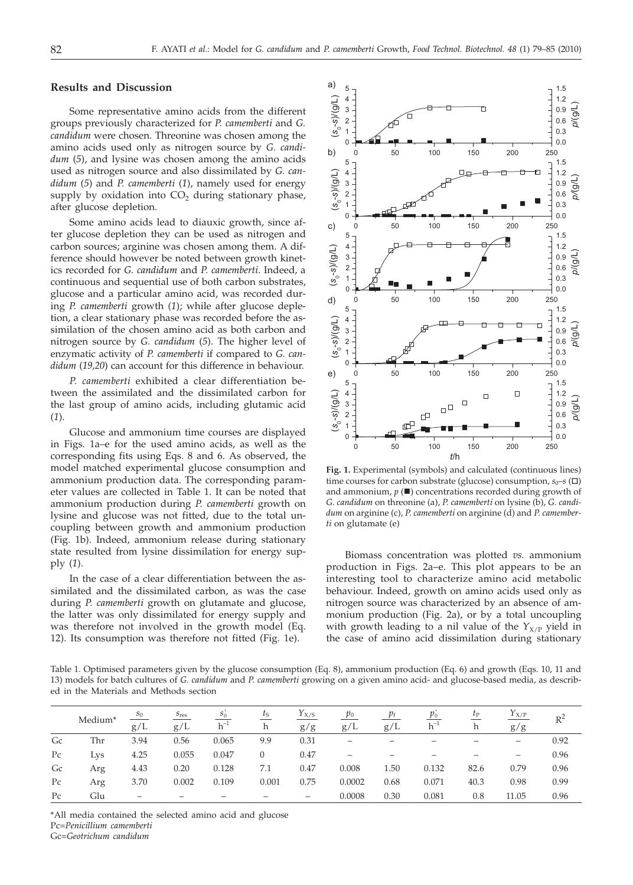# **Results and Discussion**

Some representative amino acids from the different groups previously characterized for *P. camemberti* and *G. candidum* were chosen. Threonine was chosen among the amino acids used only as nitrogen source by *G. candidum* (*5*), and lysine was chosen among the amino acids used as nitrogen source and also dissimilated by *G. candidum* (*5*) and *P. camemberti* (*1*), namely used for energy supply by oxidation into  $CO<sub>2</sub>$  during stationary phase, after glucose depletion.

Some amino acids lead to diauxic growth, since after glucose depletion they can be used as nitrogen and carbon sources; arginine was chosen among them. A difference should however be noted between growth kinetics recorded for *G. candidum* and *P. camemberti*. Indeed, a continuous and sequential use of both carbon substrates, glucose and a particular amino acid, was recorded during *P. camemberti* growth (*1*); while after glucose depletion, a clear stationary phase was recorded before the assimilation of the chosen amino acid as both carbon and nitrogen source by *G. candidum* (*5*). The higher level of enzymatic activity of *P. camemberti* if compared to *G. candidum* (*19,20*) can account for this difference in behaviour.

*P. camemberti* exhibited a clear differentiation between the assimilated and the dissimilated carbon for the last group of amino acids, including glutamic acid (*1*).

Glucose and ammonium time courses are displayed in Figs. 1a–e for the used amino acids, as well as the corresponding fits using Eqs. 8 and 6. As observed, the model matched experimental glucose consumption and ammonium production data. The corresponding parameter values are collected in Table 1. It can be noted that ammonium production during *P. camemberti* growth on lysine and glucose was not fitted, due to the total uncoupling between growth and ammonium production (Fig. 1b). Indeed, ammonium release during stationary state resulted from lysine dissimilation for energy supply (*1*).

In the case of a clear differentiation between the assimilated and the dissimilated carbon, as was the case during *P. camemberti* growth on glutamate and glucose, the latter was only dissimilated for energy supply and was therefore not involved in the growth model (Eq. 12). Its consumption was therefore not fitted (Fig. 1e).



**Fig. 1.** Experimental (symbols) and calculated (continuous lines) time courses for carbon substrate (glucose) consumption,  $s_0$ – $s$  ( $\square$ ) and ammonium,  $p(\blacksquare)$  concentrations recorded during growth of *G. candidum* on threonine (a), *P. camemberti* on lysine (b), *G. candidum* on arginine (c), *P. camemberti* on arginine (d) and *P. camemberti* on glutamate (e)

Biomass concentration was plotted *vs.* ammonium production in Figs. 2a–e. This plot appears to be an interesting tool to characterize amino acid metabolic behaviour. Indeed, growth on amino acids used only as nitrogen source was characterized by an absence of ammonium production (Fig. 2a), or by a total uncoupling with growth leading to a nil value of the  $Y_{X/P}$  yield in the case of amino acid dissimilation during stationary

Table 1. Optimised parameters given by the glucose consumption (Eq. 8), ammonium production (Eq. 6) and growth (Eqs. 10, 11 and 13) models for batch cultures of *G. candidum* and *P. camemberti* growing on a given amino acid- and glucose-based media, as described in the Materials and Methods section

|             | Medium <sup>*</sup> | $S_0$<br>g/L | $S_{\text{res}}$<br>g/L | $s_0$<br>$h^{-1}$ | $\iota_{\rm S}$<br>h | $Y_{X/S}$<br>g/g  | $p_{0}$<br>g/L | $p_{\rm f}$<br>g/L | $p_0$<br>$h^{-1}$ | $\iota_{\rm P}$<br>h | $Y_{X/P}$<br>g/g | $R^2$ |
|-------------|---------------------|--------------|-------------------------|-------------------|----------------------|-------------------|----------------|--------------------|-------------------|----------------------|------------------|-------|
| Gc          | Thr                 | 3.94         | 0.56                    | 0.065             | 9.9                  | 0.31              | –              |                    |                   |                      | -                | 0.92  |
| $P_{\rm C}$ | Lys                 | 4.25         | 0.055                   | 0.047             |                      | 0.47              | -              |                    |                   |                      | -                | 0.96  |
| Gc          | Arg                 | 4.43         | 0.20                    | 0.128             | 7.1                  | 0.47              | 0.008          | 1.50               | 0.132             | 82.6                 | 0.79             | 0.96  |
| $P_{\rm C}$ | Arg                 | 3.70         | 0.002                   | 0.109             | 0.001                | 0.75              | 0.0002         | 0.68               | 0.071             | 40.3                 | 0.98             | 0.99  |
| $P_{\rm C}$ | Glu                 | -            |                         |                   |                      | $\qquad \qquad -$ | 0.0008         | 0.30               | 0.081             | 0.8                  | 11.05            | 0.96  |

\*All media contained the selected amino acid and glucose Pc=*Penicillium camemberti*

Gc=*Geotrichum candidum*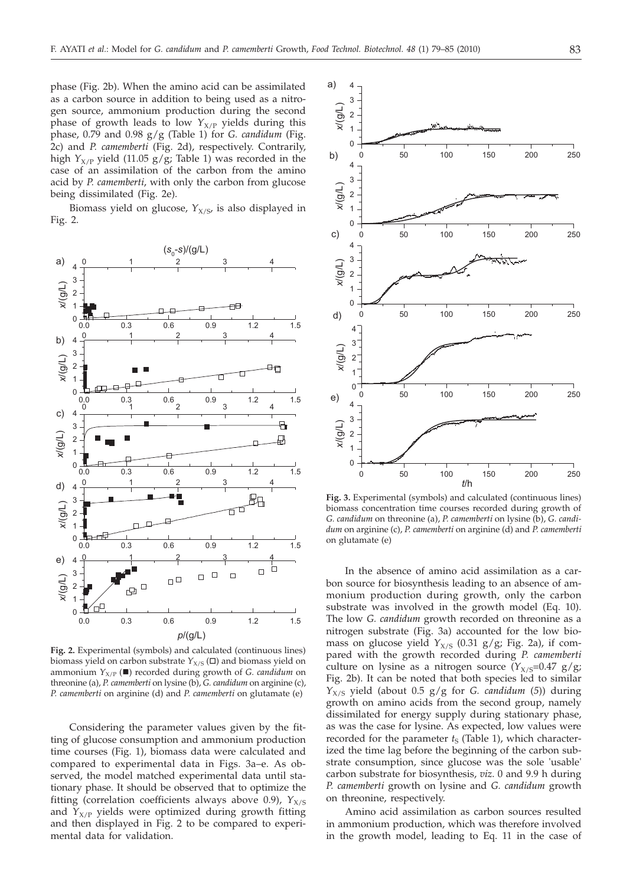phase (Fig. 2b). When the amino acid can be assimilated as a carbon source in addition to being used as a nitrogen source, ammonium production during the second phase of growth leads to low  $Y_{X/P}$  yields during this phase, 0.79 and 0.98 g/g (Table 1) for *G. candidum* (Fig. 2c) and *P. camemberti* (Fig. 2d), respectively. Contrarily, high  $Y_{X/P}$  yield (11.05 g/g; Table 1) was recorded in the case of an assimilation of the carbon from the amino acid by *P. camemberti*, with only the carbon from glucose being dissimilated (Fig. 2e).

Biomass yield on glucose,  $Y_{X/S}$ , is also displayed in Fig. 2.



**Fig. 2.** Experimental (symbols) and calculated (continuous lines) biomass yield on carbon substrate  $Y_{X/S}(\square)$  and biomass yield on ammonium  $Y_{X/P}$  ( $\blacksquare$ ) recorded during growth of *G. candidum* on threonine (a), *P. camemberti* on lysine (b), *G. candidum* on arginine (c), *P. camemberti* on arginine (d) and *P. camemberti* on glutamate (e)

Considering the parameter values given by the fitting of glucose consumption and ammonium production time courses (Fig. 1), biomass data were calculated and compared to experimental data in Figs. 3a–e. As observed, the model matched experimental data until stationary phase. It should be observed that to optimize the fitting (correlation coefficients always above 0.9),  $Y_{X/S}$ and  $Y_{X/P}$  yields were optimized during growth fitting and then displayed in Fig. 2 to be compared to experimental data for validation.



**Fig. 3.** Experimental (symbols) and calculated (continuous lines) biomass concentration time courses recorded during growth of *G. candidum* on threonine (a), *P. camemberti* on lysine (b), *G. candidum* on arginine (c), *P. camemberti* on arginine (d) and *P. camemberti* on glutamate (e)

In the absence of amino acid assimilation as a carbon source for biosynthesis leading to an absence of ammonium production during growth, only the carbon substrate was involved in the growth model (Eq. 10). The low *G. candidum* growth recorded on threonine as a nitrogen substrate (Fig. 3a) accounted for the low biomass on glucose yield  $Y_{X/S}$  (0.31 g/g; Fig. 2a), if compared with the growth recorded during *P. camemberti* culture on lysine as a nitrogen source  $(Y_{X/S}=0.47 \text{ g/g})$ ; Fig. 2b). It can be noted that both species led to similar  $Y_{X/S}$  yield (about 0.5 g/g for *G. candidum* (5)) during growth on amino acids from the second group, namely dissimilated for energy supply during stationary phase, as was the case for lysine. As expected, low values were recorded for the parameter  $t_S$  (Table 1), which characterized the time lag before the beginning of the carbon substrate consumption, since glucose was the sole 'usable' carbon substrate for biosynthesis, *viz*. 0 and 9.9 h during *P. camemberti* growth on lysine and *G. candidum* growth on threonine, respectively.

Amino acid assimilation as carbon sources resulted in ammonium production, which was therefore involved in the growth model, leading to Eq. 11 in the case of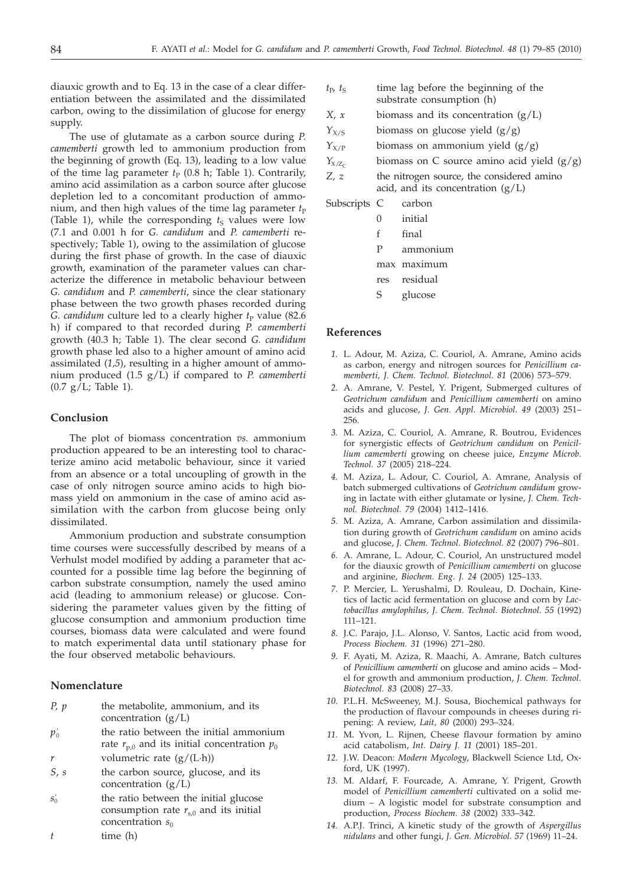diauxic growth and to Eq. 13 in the case of a clear differentiation between the assimilated and the dissimilated carbon, owing to the dissimilation of glucose for energy supply.

The use of glutamate as a carbon source during *P. camemberti* growth led to ammonium production from the beginning of growth (Eq. 13), leading to a low value of the time lag parameter  $t_P$  (0.8 h; Table 1). Contrarily, amino acid assimilation as a carbon source after glucose depletion led to a concomitant production of ammonium, and then high values of the time lag parameter  $t<sub>P</sub>$ (Table 1), while the corresponding  $t<sub>S</sub>$  values were low (7.1 and 0.001 h for *G. candidum* and *P. camemberti* respectively; Table 1), owing to the assimilation of glucose during the first phase of growth. In the case of diauxic growth, examination of the parameter values can characterize the difference in metabolic behaviour between *G. candidum* and *P. camemberti*, since the clear stationary phase between the two growth phases recorded during *G. candidum* culture led to a clearly higher  $t<sub>P</sub>$  value (82.6) h) if compared to that recorded during *P. camemberti* growth (40.3 h; Table 1). The clear second *G. candidum* growth phase led also to a higher amount of amino acid assimilated (*1,5*), resulting in a higher amount of ammonium produced (1.5 g/L) if compared to *P. camemberti*  $(0.7 g/L;$  Table 1).

## **Conclusion**

The plot of biomass concentration *vs.* ammonium production appeared to be an interesting tool to characterize amino acid metabolic behaviour, since it varied from an absence or a total uncoupling of growth in the case of only nitrogen source amino acids to high biomass yield on ammonium in the case of amino acid assimilation with the carbon from glucose being only dissimilated.

Ammonium production and substrate consumption time courses were successfully described by means of a Verhulst model modified by adding a parameter that accounted for a possible time lag before the beginning of carbon substrate consumption, namely the used amino acid (leading to ammonium release) or glucose. Considering the parameter values given by the fitting of glucose consumption and ammonium production time courses, biomass data were calculated and were found to match experimental data until stationary phase for the four observed metabolic behaviours.

# **Nomenclature**

- *P*, *p* the metabolite, ammonium, and its concentration  $(g/L)$
- p'<sub>0</sub> the ratio between the initial ammonium rate  $r_{p,0}$  and its initial concentration  $p_0$
- *r* volumetric rate (g/(L·h))
- *S*, *s* the carbon source, glucose, and its concentration (g/L)
- $s_0'$  the ratio between the initial glucose consumption rate  $r_{s,0}$  and its initial concentration  $s_0$

$$
t \qquad \qquad \text{time (h)}
$$

- $t_{\rm P}$ ,  $t_{\rm S}$  time lag before the beginning of the substrate consumption (h)
- *X*, *x* biomass and its concentration (g/L)
- *Y*<sub>X/S</sub> biomass on glucose yield (g/g)
- $Y_{X/P}$  biomass on ammonium yield  $(g/g)$
- $Y_{X/Z_C}$  biomass on C source amino acid yield (g/g)
- *Z, z* the nitrogen source, the considered amino acid, and its concentration  $(g/L)$

Subscripts C carbon 0 initial

- f final
- P ammonium
- max maximum
- 
- res residual
- S glucose

#### **References**

- *1.* L. Adour, M. Aziza, C. Couriol, A. Amrane, Amino acids as carbon, energy and nitrogen sources for *Penicillium camemberti, J. Chem. Technol. Biotechnol. 81* (2006) 573–579.
- *2.* A. Amrane, V. Pestel, Y. Prigent, Submerged cultures of *Geotrichum candidum* and *Penicillium camemberti* on amino acids and glucose, *J. Gen. Appl. Microbiol. 49* (2003) 251– 256.
- *3.* M. Aziza, C. Couriol, A. Amrane, R. Boutrou, Evidences for synergistic effects of *Geotrichum candidum* on *Penicillium camemberti* growing on cheese juice, *Enzyme Microb. Technol. 37* (2005) 218–224.
- *4.* M. Aziza, L. Adour, C. Couriol, A. Amrane, Analysis of batch submerged cultivations of *Geotrichum candidum* growing in lactate with either glutamate or lysine, *J. Chem. Technol. Biotechnol. 79* (2004) 1412–1416.
- *5.* M. Aziza, A. Amrane, Carbon assimilation and dissimilation during growth of *Geotrichum candidum* on amino acids and glucose, *J. Chem. Technol. Biotechnol. 82* (2007) 796–801.
- *6.* A. Amrane, L. Adour, C. Couriol, An unstructured model for the diauxic growth of *Penicillium camemberti* on glucose and arginine, *Biochem. Eng. J. 24* (2005) 125–133.
- *7.* P. Mercier, L. Yerushalmi, D. Rouleau, D. Dochain, Kinetics of lactic acid fermentation on glucose and corn by *Lactobacillus amylophilus, J. Chem. Technol. Biotechnol. 55* (1992) 111–121.
- *8.* J.C. Parajo, J.L. Alonso, V. Santos, Lactic acid from wood, *Process Biochem. 31* (1996) 271–280.
- *9.* F. Ayati, M. Aziza, R. Maachi, A. Amrane, Batch cultures of *Penicillium camemberti* on glucose and amino acids – Model for growth and ammonium production, *J. Chem. Technol. Biotechnol. 83* (2008) 27–33.
- *10.* P.L.H. McSweeney, M.J. Sousa, Biochemical pathways for the production of flavour compounds in cheeses during ripening: A review, *Lait, 80* (2000) 293–324.
- *11.* M. Yvon, L. Rijnen, Cheese flavour formation by amino acid catabolism, *Int. Dairy J. 11* (2001) 185–201.
- *12.* J.W. Deacon: *Modern Mycology*, Blackwell Science Ltd, Oxford, UK (1997).
- *13.* M. Aldarf, F. Fourcade, A. Amrane, Y. Prigent, Growth model of *Penicillium camemberti* cultivated on a solid medium – A logistic model for substrate consumption and production, *Process Biochem. 38* (2002) 333–342.
- *14.* A.P.J. Trinci, A kinetic study of the growth of *Aspergillus nidulans* and other fungi, *J. Gen. Microbiol. 57* (1969) 11–24.